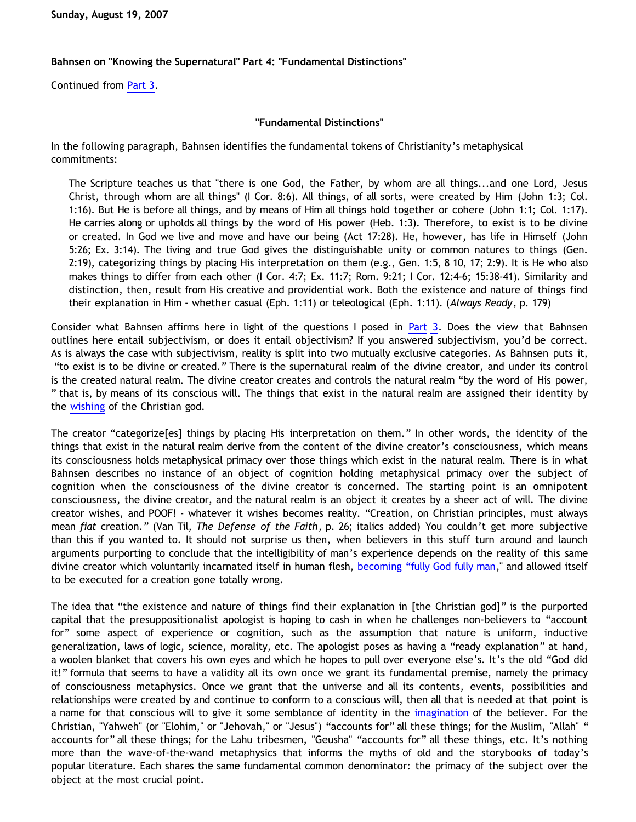## **Bahnsen on "Knowing the Supernatural" Part 4: "Fundamental Distinctions"**

Continued from [Part 3.](http://bahnsenburner.blogspot.com/2007/08/bahnsen-on-knowing-supernatural-part-3.html)

## **"Fundamental Distinctions"**

In the following paragraph, Bahnsen identifies the fundamental tokens of Christianity's metaphysical commitments:

The Scripture teaches us that "there is one God, the Father, by whom are all things...and one Lord, Jesus Christ, through whom are all things" (I Cor. 8:6). All things, of all sorts, were created by Him (John 1:3; Col. 1:16). But He is before all things, and by means of Him all things hold together or cohere (John 1:1; Col. 1:17). He carries along or upholds all things by the word of His power (Heb. 1:3). Therefore, to exist is to be divine or created. In God we live and move and have our being (Act 17:28). He, however, has life in Himself (John 5:26; Ex. 3:14). The living and true God gives the distinguishable unity or common natures to things (Gen. 2:19), categorizing things by placing His interpretation on them (e.g., Gen. 1:5, 8 10, 17; 2:9). It is He who also makes things to differ from each other (I Cor. 4:7; Ex. 11:7; Rom. 9:21; I Cor. 12:4-6; 15:38-41). Similarity and distinction, then, result from His creative and providential work. Both the existence and nature of things find their explanation in Him - whether casual (Eph. 1:11) or teleological (Eph. 1:11). (*Always Ready*, p. 179)

Consider what Bahnsen affirms here in light of the questions I posed in [Part 3](http://bahnsenburner.blogspot.com/2007/08/bahnsen-on-knowing-supernatural-part-3.html). Does the view that Bahnsen outlines here entail subjectivism, or does it entail objectivism? If you answered subjectivism, you'd be correct. As is always the case with subjectivism, reality is split into two mutually exclusive categories. As Bahnsen puts it, "to exist is to be divine or created." There is the supernatural realm of the divine creator, and under its control is the created natural realm. The divine creator creates and controls the natural realm "by the word of His power, " that is, by means of its conscious will. The things that exist in the natural realm are assigned their identity by the [wishing](http://bahnsenburner.blogspot.com/2006/12/wishing-and-christian-deity.html) of the Christian god.

The creator "categorize[es] things by placing His interpretation on them." In other words, the identity of the things that exist in the natural realm derive from the content of the divine creator's consciousness, which means its consciousness holds metaphysical primacy over those things which exist in the natural realm. There is in what Bahnsen describes no instance of an object of cognition holding metaphysical primacy over the subject of cognition when the consciousness of the divine creator is concerned. The starting point is an omnipotent consciousness, the divine creator, and the natural realm is an object it creates by a sheer act of will. The divine creator wishes, and POOF! - whatever it wishes becomes reality. "Creation, on Christian principles, must always mean *fiat* creation." (Van Til, *The Defense of the Faith*, p. 26; italics added) You couldn't get more subjective than this if you wanted to. It should not surprise us then, when believers in this stuff turn around and launch arguments purporting to conclude that the intelligibility of man's experience depends on the reality of this same divine creator which voluntarily incarnated itself in human flesh, [becoming](http://bahnsenburner.blogspot.com/2005/08/christianity-as-worship-of-self.html) ["fully God fully man,](http://bahnsenburner.blogspot.com/2005/08/christianity-as-worship-of-self.html)" and allowed itself to be executed for a creation gone totally wrong.

The idea that "the existence and nature of things find their explanation in [the Christian god]" is the purported capital that the presuppositionalist apologist is hoping to cash in when he challenges non-believers to "account for" some aspect of experience or cognition, such as the assumption that nature is uniform, inductive generalization, laws of logic, science, morality, etc. The apologist poses as having a "ready explanation" at hand, a woolen blanket that covers his own eyes and which he hopes to pull over everyone else's. It's the old "God did it!" formula that seems to have a validity all its own once we grant its fundamental premise, namely the primacy of consciousness metaphysics. Once we grant that the universe and all its contents, events, possibilities and relationships were created by and continue to conform to a conscious will, then all that is needed at that point is a name for that conscious will to give it some semblance of identity in the [imagination](http://bahnsenburner.blogspot.com/2007/07/role-of-imagination-in-christian-god.html) of the believer. For the Christian, "Yahweh" (or "Elohim," or "Jehovah," or "Jesus") "accounts for" all these things; for the Muslim, "Allah" " accounts for" all these things; for the Lahu tribesmen, "Geusha" "accounts for" all these things, etc. It's nothing more than the wave-of-the-wand metaphysics that informs the myths of old and the storybooks of today's popular literature. Each shares the same fundamental common denominator: the primacy of the subject over the object at the most crucial point.